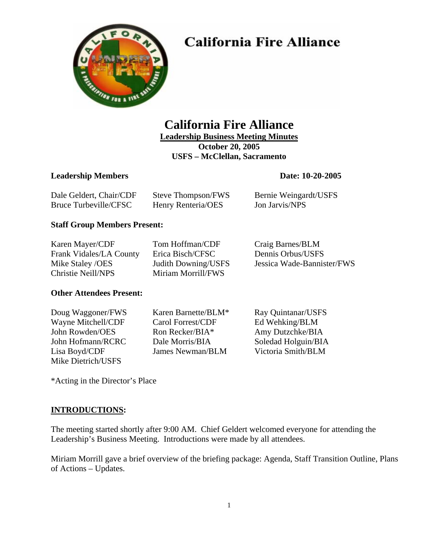# **California Fire Alliance**



# **California Fire Alliance**

**Leadership Business Meeting Minutes October 20, 2005** 

**USFS – McClellan, Sacramento** 

# **Leadership Members** Date: 10-20-2005

| Dale Geldert, Chair/CDF | Steve Thompson/FWS | Bernie Weingardt/USFS |
|-------------------------|--------------------|-----------------------|
| Bruce Turbeville/CFSC   | Henry Renteria/OES | Jon Jarvis/NPS        |

# **Staff Group Members Present:**

| Karen Mayer/CDF         | Tom Hoffman/CDF            | Craig Barnes/BLM           |
|-------------------------|----------------------------|----------------------------|
| Frank Vidales/LA County | Erica Bisch/CFSC           | Dennis Orbus/USFS          |
| Mike Staley /OES        | <b>Judith Downing/USFS</b> | Jessica Wade-Bannister/FWS |
| Christie Neill/NPS      | Miriam Morrill/FWS         |                            |

# **Other Attendees Present:**

Wayne Mitchell/CDF Carol Forrest/CDF Ed Wehking/BLM John Rowden/OES Ron Recker/BIA\* Amy Dutzchke/BIA John Hofmann/RCRC Dale Morris/BIA Soledad Holguin/BIA Lisa Boyd/CDF James Newman/BLM Victoria Smith/BLM Mike Dietrich/USFS

Doug Waggoner/FWS Karen Barnette/BLM\* Ray Quintanar/USFS

\*Acting in the Director's Place

# **INTRODUCTIONS:**

The meeting started shortly after 9:00 AM. Chief Geldert welcomed everyone for attending the Leadership's Business Meeting. Introductions were made by all attendees.

Miriam Morrill gave a brief overview of the briefing package: Agenda, Staff Transition Outline, Plans of Actions – Updates.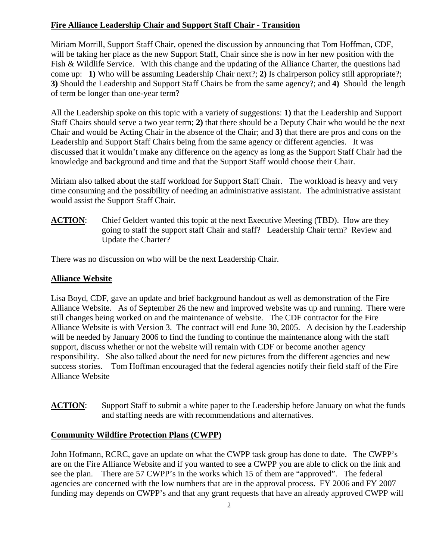# **Fire Alliance Leadership Chair and Support Staff Chair - Transition**

Miriam Morrill, Support Staff Chair, opened the discussion by announcing that Tom Hoffman, CDF, will be taking her place as the new Support Staff, Chair since she is now in her new position with the Fish & Wildlife Service. With this change and the updating of the Alliance Charter, the questions had come up: **1)** Who will be assuming Leadership Chair next?; **2)** Is chairperson policy still appropriate?; **3)** Should the Leadership and Support Staff Chairs be from the same agency?; and **4)** Should the length of term be longer than one-year term?

All the Leadership spoke on this topic with a variety of suggestions: **1)** that the Leadership and Support Staff Chairs should serve a two year term; **2)** that there should be a Deputy Chair who would be the next Chair and would be Acting Chair in the absence of the Chair; and **3)** that there are pros and cons on the Leadership and Support Staff Chairs being from the same agency or different agencies. It was discussed that it wouldn't make any difference on the agency as long as the Support Staff Chair had the knowledge and background and time and that the Support Staff would choose their Chair.

Miriam also talked about the staff workload for Support Staff Chair. The workload is heavy and very time consuming and the possibility of needing an administrative assistant. The administrative assistant would assist the Support Staff Chair.

**ACTION:** Chief Geldert wanted this topic at the next Executive Meeting (TBD). How are they going to staff the support staff Chair and staff? Leadership Chair term? Review and Update the Charter?

There was no discussion on who will be the next Leadership Chair.

## **Alliance Website**

Lisa Boyd, CDF, gave an update and brief background handout as well as demonstration of the Fire Alliance Website. As of September 26 the new and improved website was up and running. There were still changes being worked on and the maintenance of website. The CDF contractor for the Fire Alliance Website is with Version 3. The contract will end June 30, 2005. A decision by the Leadership will be needed by January 2006 to find the funding to continue the maintenance along with the staff support, discuss whether or not the website will remain with CDF or become another agency responsibility. She also talked about the need for new pictures from the different agencies and new success stories. Tom Hoffman encouraged that the federal agencies notify their field staff of the Fire Alliance Website

**ACTION:** Support Staff to submit a white paper to the Leadership before January on what the funds and staffing needs are with recommendations and alternatives.

### **Community Wildfire Protection Plans (CWPP)**

John Hofmann, RCRC, gave an update on what the CWPP task group has done to date. The CWPP's are on the Fire Alliance Website and if you wanted to see a CWPP you are able to click on the link and see the plan. There are 57 CWPP's in the works which 15 of them are "approved". The federal agencies are concerned with the low numbers that are in the approval process. FY 2006 and FY 2007 funding may depends on CWPP's and that any grant requests that have an already approved CWPP will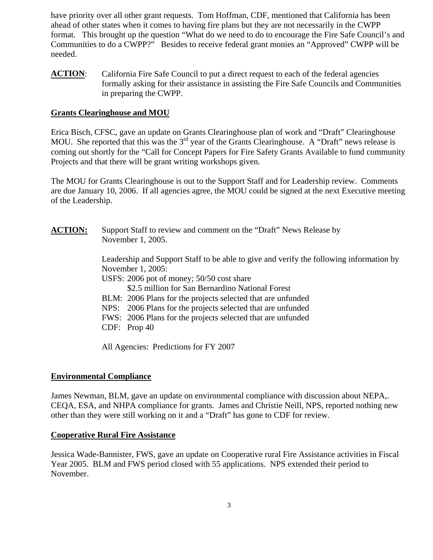have priority over all other grant requests. Tom Hoffman, CDF, mentioned that California has been ahead of other states when it comes to having fire plans but they are not necessarily in the CWPP format. This brought up the question "What do we need to do to encourage the Fire Safe Council's and Communities to do a CWPP?" Besides to receive federal grant monies an "Approved" CWPP will be needed.

**ACTION**: California Fire Safe Council to put a direct request to each of the federal agencies formally asking for their assistance in assisting the Fire Safe Councils and Communities in preparing the CWPP.

#### **Grants Clearinghouse and MOU**

Erica Bisch, CFSC, gave an update on Grants Clearinghouse plan of work and "Draft" Clearinghouse MOU. She reported that this was the 3<sup>rd</sup> year of the Grants Clearinghouse. A "Draft" news release is coming out shortly for the "Call for Concept Papers for Fire Safety Grants Available to fund community Projects and that there will be grant writing workshops given.

The MOU for Grants Clearinghouse is out to the Support Staff and for Leadership review. Comments are due January 10, 2006. If all agencies agree, the MOU could be signed at the next Executive meeting of the Leadership.

**ACTION:** Support Staff to review and comment on the "Draft" News Release by November 1, 2005.

> Leadership and Support Staff to be able to give and verify the following information by November 1, 2005:

- USFS: 2006 pot of money; 50/50 cost share
	- \$2.5 million for San Bernardino National Forest
- BLM: 2006 Plans for the projects selected that are unfunded
- NPS: 2006 Plans for the projects selected that are unfunded
- FWS: 2006 Plans for the projects selected that are unfunded
- CDF: Prop 40

All Agencies: Predictions for FY 2007

#### **Environmental Compliance**

James Newman, BLM, gave an update on environmental compliance with discussion about NEPA,. CEQA, ESA, and NHPA compliance for grants. James and Christie Neill, NPS, reported nothing new other than they were still working on it and a "Draft" has gone to CDF for review.

#### **Cooperative Rural Fire Assistance**

Jessica Wade-Bannister, FWS, gave an update on Cooperative rural Fire Assistance activities in Fiscal Year 2005. BLM and FWS period closed with 55 applications. NPS extended their period to November.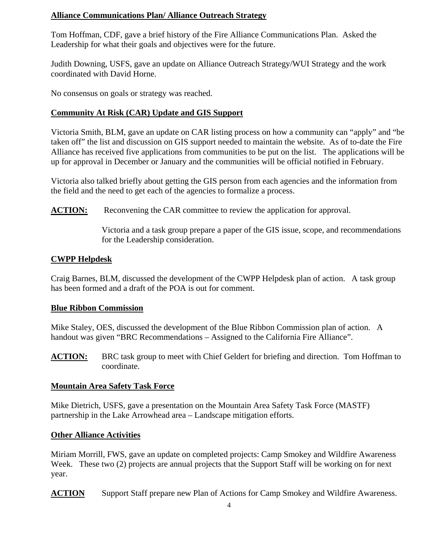# **Alliance Communications Plan/ Alliance Outreach Strategy**

Tom Hoffman, CDF, gave a brief history of the Fire Alliance Communications Plan. Asked the Leadership for what their goals and objectives were for the future.

Judith Downing, USFS, gave an update on Alliance Outreach Strategy/WUI Strategy and the work coordinated with David Horne.

No consensus on goals or strategy was reached.

## **Community At Risk (CAR) Update and GIS Support**

Victoria Smith, BLM, gave an update on CAR listing process on how a community can "apply" and "be taken off" the list and discussion on GIS support needed to maintain the website. As of to-date the Fire Alliance has received five applications from communities to be put on the list. The applications will be up for approval in December or January and the communities will be official notified in February.

Victoria also talked briefly about getting the GIS person from each agencies and the information from the field and the need to get each of the agencies to formalize a process.

**ACTION:** Reconvening the CAR committee to review the application for approval.

Victoria and a task group prepare a paper of the GIS issue, scope, and recommendations for the Leadership consideration.

### **CWPP Helpdesk**

Craig Barnes, BLM, discussed the development of the CWPP Helpdesk plan of action. A task group has been formed and a draft of the POA is out for comment.

### **Blue Ribbon Commission**

Mike Staley, OES, discussed the development of the Blue Ribbon Commission plan of action. A handout was given "BRC Recommendations – Assigned to the California Fire Alliance".

**ACTION:** BRC task group to meet with Chief Geldert for briefing and direction. Tom Hoffman to coordinate.

### **Mountain Area Safety Task Force**

Mike Dietrich, USFS, gave a presentation on the Mountain Area Safety Task Force (MASTF) partnership in the Lake Arrowhead area – Landscape mitigation efforts.

### **Other Alliance Activities**

Miriam Morrill, FWS, gave an update on completed projects: Camp Smokey and Wildfire Awareness Week. These two (2) projects are annual projects that the Support Staff will be working on for next year.

**ACTION** Support Staff prepare new Plan of Actions for Camp Smokey and Wildfire Awareness.